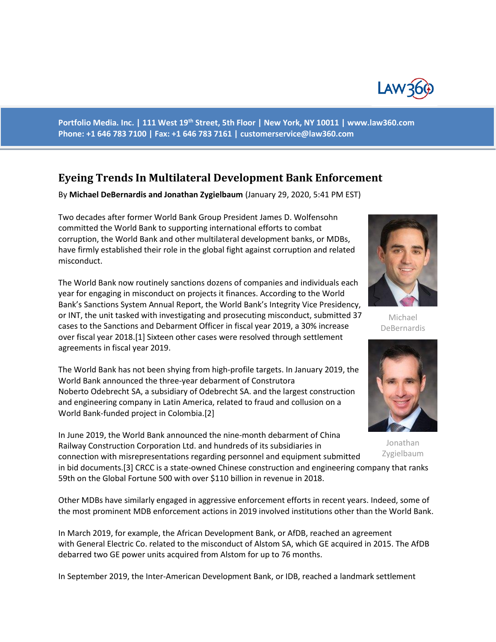

**Portfolio Media. Inc. | 111 West 19th Street, 5th Floor | New York, NY 10011 | www.law360.com Phone: +1 646 783 7100 | Fax: +1 646 783 7161 | [customerservice@law360.com](mailto:customerservice@law360.com)**

# **Eyeing Trends In Multilateral Development Bank Enforcement**

By **Michael DeBernardis and Jonathan Zygielbaum** (January 29, 2020, 5:41 PM EST)

Two decades after former World Bank Group President James D. Wolfensohn committed the World Bank to supporting international efforts to combat corruption, the World Bank and other multilateral development banks, or MDBs, have firmly established their role in the global fight against corruption and related misconduct.

The World Bank now routinely sanctions dozens of companies and individuals each year for engaging in misconduct on projects it finances. According to the World Bank's Sanctions System Annual Report, the World Bank's Integrity Vice Presidency, or INT, the unit tasked with investigating and prosecuting misconduct, submitted 37 cases to the Sanctions and Debarment Officer in fiscal year 2019, a 30% increase over fiscal year 2018.[1] Sixteen other cases were resolved through settlement agreements in fiscal year 2019.

The World Bank has not been shying from high-profile targets. In January 2019, the World Bank announced the three-year debarment of Construtora Noberto Odebrecht SA, a subsidiary of Odebrecht SA. and the largest construction and engineering company in Latin America, related to fraud and collusion on a World Bank-funded project in Colombia.[2]

In June 2019, the World Bank announced the nine-month debarment of China Railway Construction Corporation Ltd. and hundreds of its subsidiaries in connection with misrepresentations regarding personnel and equipment submitted

in bid documents.[3] CRCC is a state-owned Chinese construction and engineering company that ranks 59th on the Global Fortune 500 with over \$110 billion in revenue in 2018.

Other MDBs have similarly engaged in aggressive enforcement efforts in recent years. Indeed, some of the most prominent MDB enforcement actions in 2019 involved institutions other than the World Bank.

In March 2019, for example, the African Development Bank, or AfDB, reached an agreement with General Electric Co. related to the misconduct of Alstom SA, which GE acquired in 2015. The AfDB debarred two GE power units acquired from Alstom for up to 76 months.

In September 2019, the Inter-American Development Bank, or IDB, reached a landmark settlement



Michael DeBernardis



Jonathan Zygielbaum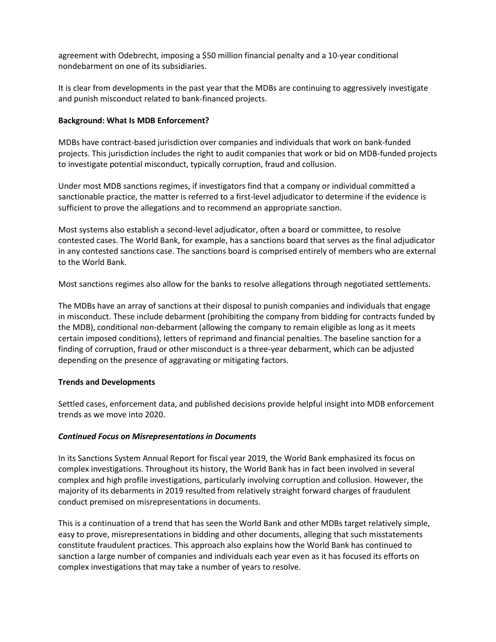agreement with Odebrecht, imposing a \$50 million financial penalty and a 10-year conditional nondebarment on one of its subsidiaries.

It is clear from developments in the past year that the MDBs are continuing to aggressively investigate and punish misconduct related to bank-financed projects.

## **Background: What Is MDB Enforcement?**

MDBs have contract-based jurisdiction over companies and individuals that work on bank-funded projects. This jurisdiction includes the right to audit companies that work or bid on MDB-funded projects to investigate potential misconduct, typically corruption, fraud and collusion.

Under most MDB sanctions regimes, if investigators find that a company or individual committed a sanctionable practice, the matter is referred to a first-level adjudicator to determine if the evidence is sufficient to prove the allegations and to recommend an appropriate sanction.

Most systems also establish a second-level adjudicator, often a board or committee, to resolve contested cases. The World Bank, for example, has a sanctions board that serves as the final adjudicator in any contested sanctions case. The sanctions board is comprised entirely of members who are external to the World Bank.

Most sanctions regimes also allow for the banks to resolve allegations through negotiated settlements.

The MDBs have an array of sanctions at their disposal to punish companies and individuals that engage in misconduct. These include debarment (prohibiting the company from bidding for contracts funded by the MDB), conditional non-debarment (allowing the company to remain eligible as long as it meets certain imposed conditions), letters of reprimand and financial penalties. The baseline sanction for a finding of corruption, fraud or other misconduct is a three-year debarment, which can be adjusted depending on the presence of aggravating or mitigating factors.

#### **Trends and Developments**

Settled cases, enforcement data, and published decisions provide helpful insight into MDB enforcement trends as we move into 2020.

#### *Continued Focus on Misrepresentations in Documents*

In its Sanctions System Annual Report for fiscal year 2019, the World Bank emphasized its focus on complex investigations. Throughout its history, the World Bank has in fact been involved in several complex and high profile investigations, particularly involving corruption and collusion. However, the majority of its debarments in 2019 resulted from relatively straight forward charges of fraudulent conduct premised on misrepresentations in documents.

This is a continuation of a trend that has seen the World Bank and other MDBs target relatively simple, easy to prove, misrepresentations in bidding and other documents, alleging that such misstatements constitute fraudulent practices. This approach also explains how the World Bank has continued to sanction a large number of companies and individuals each year even as it has focused its efforts on complex investigations that may take a number of years to resolve.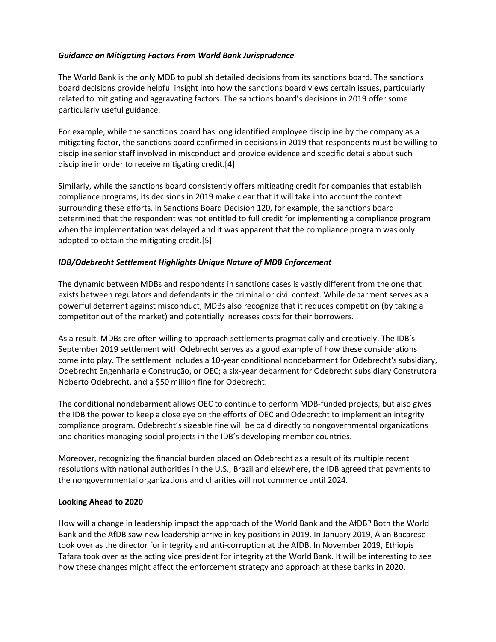## *Guidance on Mitigating Factors From World Bank Jurisprudence*

The World Bank is the only MDB to publish detailed decisions from its sanctions board. The sanctions board decisions provide helpful insight into how the sanctions board views certain issues, particularly related to mitigating and aggravating factors. The sanctions board's decisions in 2019 offer some particularly useful guidance.

For example, while the sanctions board has long identified employee discipline by the company as a mitigating factor, the sanctions board confirmed in decisions in 2019 that respondents must be willing to discipline senior staff involved in misconduct and provide evidence and specific details about such discipline in order to receive mitigating credit.[4]

Similarly, while the sanctions board consistently offers mitigating credit for companies that establish compliance programs, its decisions in 2019 make clear that it will take into account the context surrounding these efforts. In Sanctions Board Decision 120, for example, the sanctions board determined that the respondent was not entitled to full credit for implementing a compliance program when the implementation was delayed and it was apparent that the compliance program was only adopted to obtain the mitigating credit.[5]

# *IDB/Odebrecht Settlement Highlights Unique Nature of MDB Enforcement*

The dynamic between MDBs and respondents in sanctions cases is vastly different from the one that exists between regulators and defendants in the criminal or civil context. While debarment serves as a powerful deterrent against misconduct, MDBs also recognize that it reduces competition (by taking a competitor out of the market) and potentially increases costs for their borrowers.

As a result, MDBs are often willing to approach settlements pragmatically and creatively. The IDB's September 2019 settlement with Odebrecht serves as a good example of how these considerations come into play. The settlement includes a 10-year conditional nondebarment for Odebrecht's subsidiary, Odebrecht Engenharia e Construção, or OEC; a six-year debarment for Odebrecht subsidiary Construtora Noberto Odebrecht, and a \$50 million fine for Odebrecht.

The conditional nondebarment allows OEC to continue to perform MDB-funded projects, but also gives the IDB the power to keep a close eye on the efforts of OEC and Odebrecht to implement an integrity compliance program. Odebrecht's sizeable fine will be paid directly to nongovernmental organizations and charities managing social projects in the IDB's developing member countries.

Moreover, recognizing the financial burden placed on Odebrecht as a result of its multiple recent resolutions with national authorities in the U.S., Brazil and elsewhere, the IDB agreed that payments to the nongovernmental organizations and charities will not commence until 2024.

#### **Looking Ahead to 2020**

How will a change in leadership impact the approach of the World Bank and the AfDB? Both the World Bank and the AfDB saw new leadership arrive in key positions in 2019. In January 2019, Alan Bacarese took over as the director for integrity and anti-corruption at the AfDB. In November 2019, Ethiopis Tafara took over as the acting vice president for integrity at the World Bank. It will be interesting to see how these changes might affect the enforcement strategy and approach at these banks in 2020.